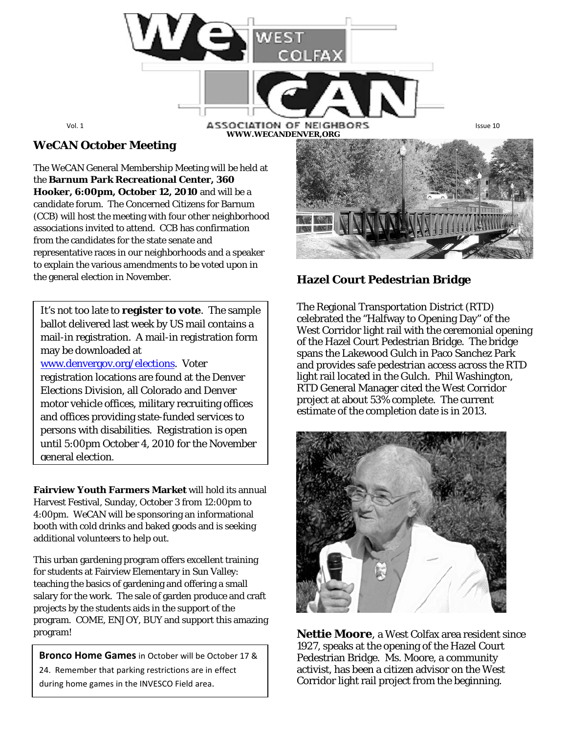

# *WeCAN* **October Meeting**

The WeCAN General Membership Meeting will be held at the **Barnum Park Recreational Center, 360 Hooker, 6:00pm, October 12, 2010** and will be a candidate forum. The Concerned Citizens for Barnum (CCB) will host the meeting with four other neighborhood associations invited to attend. CCB has confirmation from the candidates for the state senate and representative races in our neighborhoods and a speaker to explain the various amendments to be voted upon in the general election in November.

It's not too late to **register to vote**. The sample ballot delivered last week by US mail contains a mail-in registration. A mail-in registration form may be downloaded at [www.denvergov.org/elections.](http://www.denvergov.org/elections) Voter registration locations are found at the Denver Elections Division, all Colorado and Denver motor vehicle offices, military recruiting offices and offices providing state-funded services to persons with disabilities. Registration is open until 5:00pm October 4, 2010 for the November general election.

**Fairview Youth Farmers Market** will hold its annual Harvest Festival, Sunday, October 3 from 12:00pm to 4:00pm. *WeCAN* will be sponsoring an informational booth with cold drinks and baked goods and is seeking additional volunteers to help out.

This urban gardening program offers excellent training for students at Fairview Elementary in Sun Valley: teaching the basics of gardening and offering a small salary for the work. The sale of garden produce and craft projects by the students aids in the support of the program. COME, ENJOY, BUY and support this amazing program!

**Bronco Home Games** in October will be October 17 & 24. Remember that parking restrictions are in effect during home games in the INVESCO Field area.



## **Hazel Court Pedestrian Bridge**

The Regional Transportation District (RTD) celebrated the "Halfway to Opening Day" of the West Corridor light rail with the ceremonial opening of the Hazel Court Pedestrian Bridge. The bridge spans the Lakewood Gulch in Paco Sanchez Park and provides safe pedestrian access across the RTD light rail located in the Gulch. Phil Washington, RTD General Manager cited the West Corridor project at about 53% complete. The current estimate of the completion date is in 2013.



**Nettie Moore**, a West Colfax area resident since 1927, speaks at the opening of the Hazel Court Pedestrian Bridge. Ms. Moore, a community activist, has been a citizen advisor on the West Corridor light rail project from the beginning.